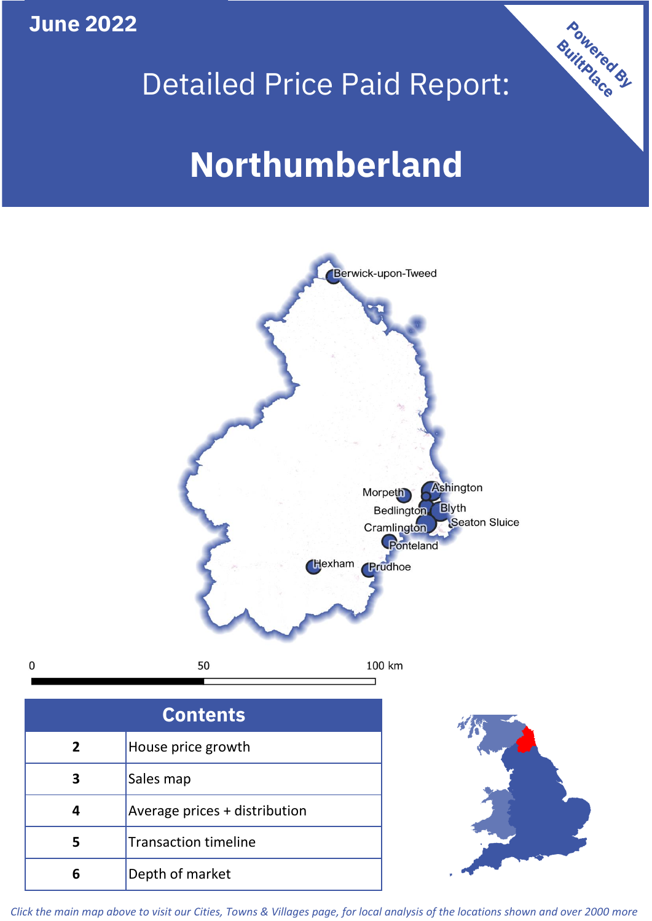**June 2022**

 $\mathbf 0$ 





| <b>Contents</b> |                               |  |  |
|-----------------|-------------------------------|--|--|
| 2               | House price growth            |  |  |
|                 | Sales map                     |  |  |
|                 | Average prices + distribution |  |  |
|                 | <b>Transaction timeline</b>   |  |  |
|                 | Depth of market               |  |  |



*Click the main map above to visit our Cities, Towns & Villages page, for local analysis of the locations shown and over 2000 more*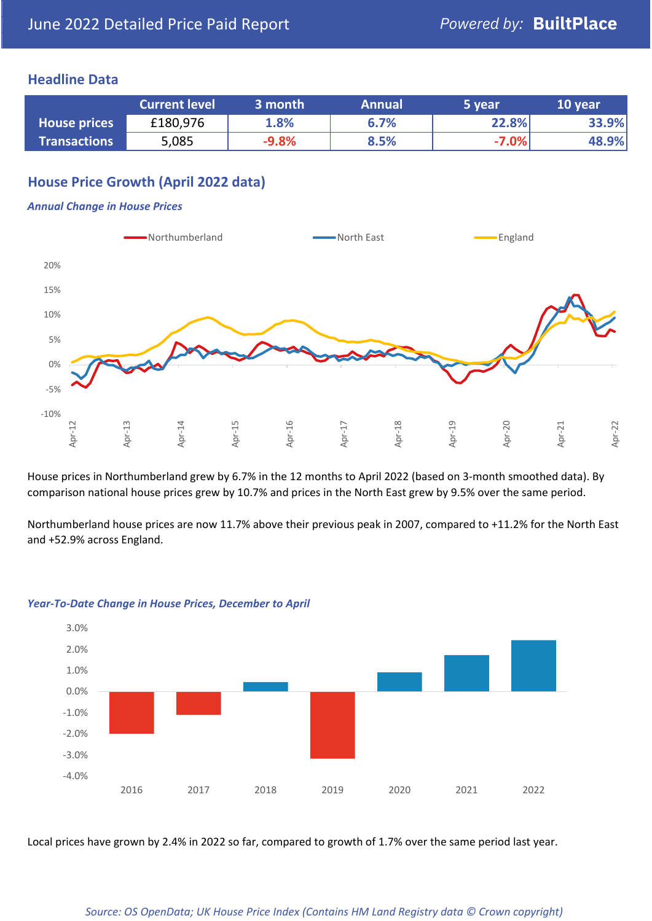## **Headline Data**

|                     | <b>Current level</b> | 3 month | <b>Annual</b> | 5 year  | 10 year |
|---------------------|----------------------|---------|---------------|---------|---------|
| <b>House prices</b> | £180,976             | 1.8%    | 6.7%          | 22.8%   | 33.9%   |
| <b>Transactions</b> | 5,085                | $-9.8%$ | 8.5%          | $-7.0%$ | 48.9%   |

# **House Price Growth (April 2022 data)**

## *Annual Change in House Prices*



House prices in Northumberland grew by 6.7% in the 12 months to April 2022 (based on 3-month smoothed data). By comparison national house prices grew by 10.7% and prices in the North East grew by 9.5% over the same period.

Northumberland house prices are now 11.7% above their previous peak in 2007, compared to +11.2% for the North East and +52.9% across England.



### *Year-To-Date Change in House Prices, December to April*

Local prices have grown by 2.4% in 2022 so far, compared to growth of 1.7% over the same period last year.

### *Source: OS OpenData; UK House Price Index (Contains HM Land Registry data © Crown copyright)*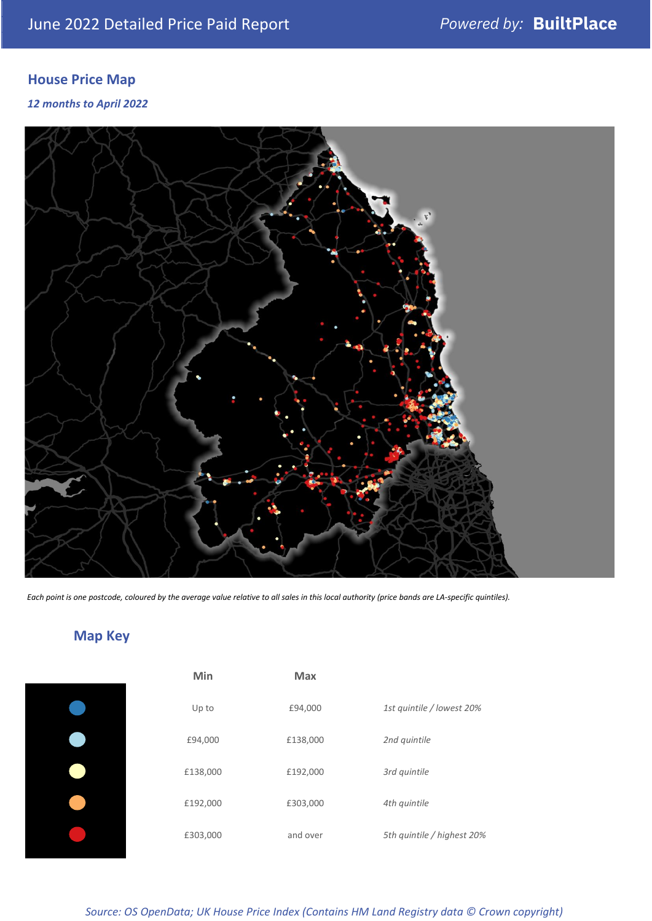# **House Price Map**

*12 months to April 2022*



*Each point is one postcode, coloured by the average value relative to all sales in this local authority (price bands are LA-specific quintiles).*

# **Map Key**

| Min      | Max      |                            |
|----------|----------|----------------------------|
| Up to    | £94,000  | 1st quintile / lowest 20%  |
| £94,000  | £138,000 | 2nd quintile               |
| £138,000 | £192,000 | 3rd quintile               |
| £192,000 | £303,000 | 4th quintile               |
| £303,000 | and over | 5th quintile / highest 20% |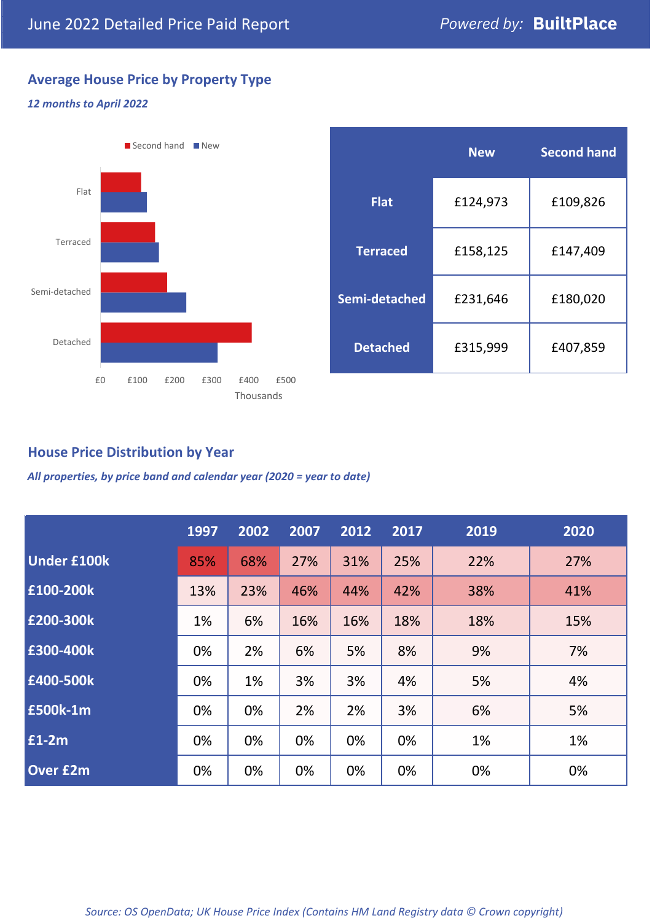# **Average House Price by Property Type**

## *12 months to April 2022*



|                 | <b>New</b> | <b>Second hand</b> |  |  |
|-----------------|------------|--------------------|--|--|
| <b>Flat</b>     | £124,973   | £109,826           |  |  |
| <b>Terraced</b> | £158,125   | £147,409           |  |  |
| Semi-detached   | £231,646   | £180,020           |  |  |
| <b>Detached</b> | £315,999   | £407,859           |  |  |

## **House Price Distribution by Year**

*All properties, by price band and calendar year (2020 = year to date)*

|                    | 1997 | 2002 | 2007 | 2012 | 2017 | 2019 | 2020 |
|--------------------|------|------|------|------|------|------|------|
| <b>Under £100k</b> | 85%  | 68%  | 27%  | 31%  | 25%  | 22%  | 27%  |
| £100-200k          | 13%  | 23%  | 46%  | 44%  | 42%  | 38%  | 41%  |
| E200-300k          | 1%   | 6%   | 16%  | 16%  | 18%  | 18%  | 15%  |
| £300-400k          | 0%   | 2%   | 6%   | 5%   | 8%   | 9%   | 7%   |
| £400-500k          | 0%   | 1%   | 3%   | 3%   | 4%   | 5%   | 4%   |
| £500k-1m           | 0%   | 0%   | 2%   | 2%   | 3%   | 6%   | 5%   |
| £1-2m              | 0%   | 0%   | 0%   | 0%   | 0%   | 1%   | 1%   |
| <b>Over £2m</b>    | 0%   | 0%   | 0%   | 0%   | 0%   | 0%   | 0%   |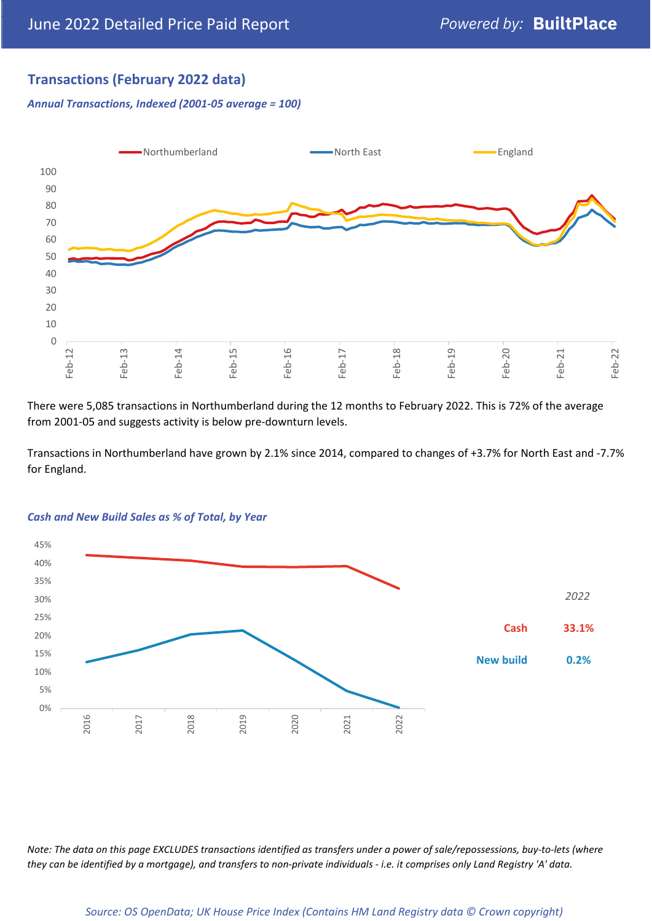# **Transactions (February 2022 data)**

*Annual Transactions, Indexed (2001-05 average = 100)*

![](_page_4_Figure_4.jpeg)

There were 5,085 transactions in Northumberland during the 12 months to February 2022. This is 72% of the average from 2001-05 and suggests activity is below pre-downturn levels.

Transactions in Northumberland have grown by 2.1% since 2014, compared to changes of +3.7% for North East and -7.7% for England.

![](_page_4_Figure_7.jpeg)

### *Cash and New Build Sales as % of Total, by Year*

*Note: The data on this page EXCLUDES transactions identified as transfers under a power of sale/repossessions, buy-to-lets (where they can be identified by a mortgage), and transfers to non-private individuals - i.e. it comprises only Land Registry 'A' data.*